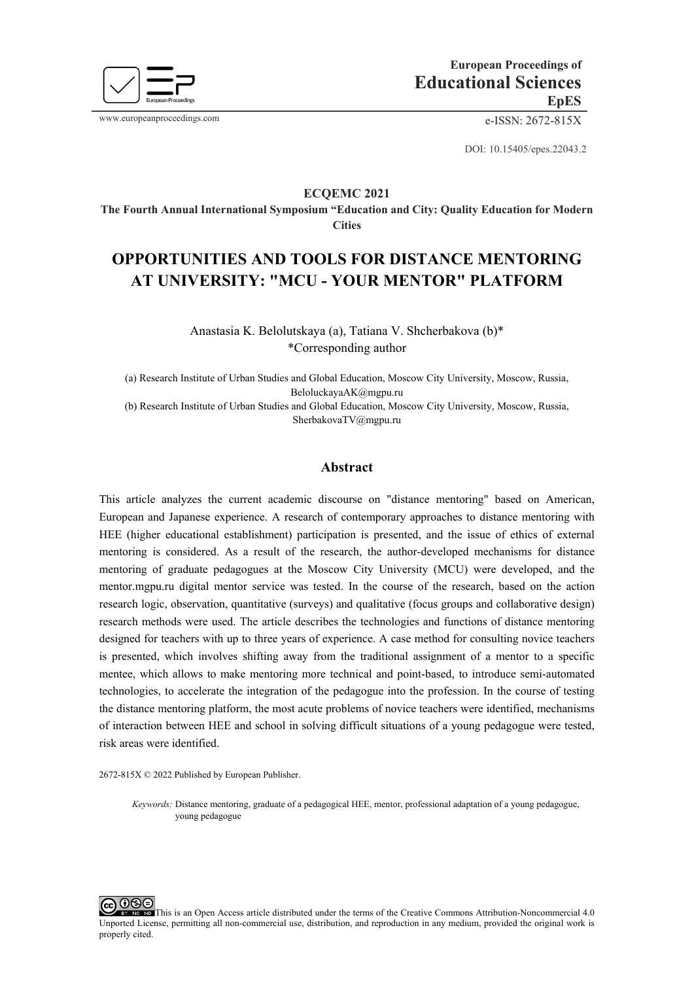

www.europeanproceedings.com e-ISSN: 2672-815X

DOI: 10.15405/epes.22043.2

# **ECQEMС 2021**

**The Fourth Annual International Symposium "Education and City: Quality Education for Modern Cities**

# **OPPORTUNITIES AND TOOLS FOR DISTANCE MENTORING AT UNIVERSITY: "MCU - YOUR MENTOR" PLATFORM**

Anastasia K. Belolutskaya (a), Tatiana V. Shcherbakova (b)\* \*Corresponding author

(a) Research Institute of Urban Studies and Global Education, Moscow City University, Moscow, Russia, [BeloluckayaAK@mgpu.ru](mailto:BeloluckayaAK@mgpu.ru) (b) Research Institute of Urban Studies and Global Education, Moscow City University, Moscow, Russia, [SherbakovaTV@mgpu.ru](mailto:SherbakovaTV@mgpu.ru)

# **Abstract**

This article analyzes the current academic discourse on "distance mentoring" based on American, European and Japanese experience. A research of contemporary approaches to distance mentoring with HEE (higher educational establishment) participation is presented, and the issue of ethics of external mentoring is considered. As a result of the research, the author-developed mechanisms for distance mentoring of graduate pedagogues at the Moscow City University (MСU) were developed, and the mentor.mgpu.ru digital mentor service was tested. In the course of the research, based on the action research logic, observation, quantitative (surveys) and qualitative (focus groups and collaborative design) research methods were used. The article describes the technologies and functions of distance mentoring designed for teachers with up to three years of experience. A case method for consulting novice teachers is presented, which involves shifting away from the traditional assignment of a mentor to a specific mentee, which allows to make mentoring more technical and point-based, to introduce semi-automated technologies, to accelerate the integration of the pedagogue into the profession. In the course of testing the distance mentoring platform, the most acute problems of novice teachers were identified, mechanisms of interaction between HEE and school in solving difficult situations of a young pedagogue were tested, risk areas were identified.

2672-815X © 2022 Published by European Publisher.

*Keywords:* Distance mentoring, graduate of a pedagogical HEE, mentor, professional adaptation of a young pedagogue, young pedagogue

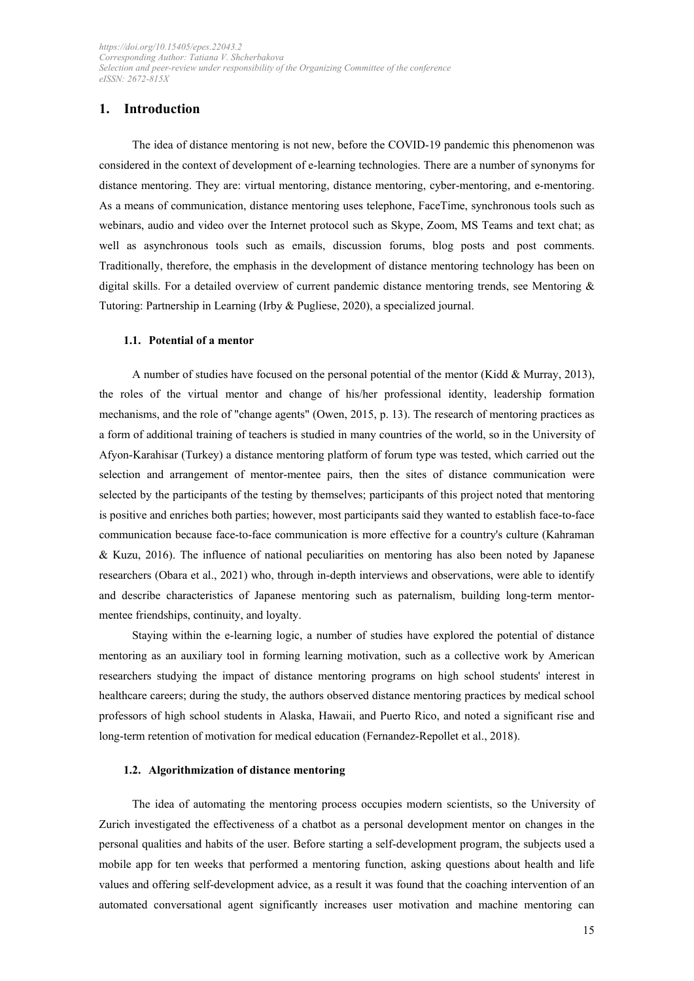# **1. Introduction**

The idea of distance mentoring is not new, before the COVID-19 pandemic this phenomenon was considered in the context of development of e-learning technologies. There are a number of synonyms for distance mentoring. They are: virtual mentoring, distance mentoring, cyber-mentoring, and e-mentoring. As a means of communication, distance mentoring uses telephone, FaceTime, synchronous tools such as webinars, audio and video over the Internet protocol such as Skype, Zoom, MS Teams and text chat; as well as asynchronous tools such as emails, discussion forums, blog posts and post comments. Traditionally, therefore, the emphasis in the development of distance mentoring technology has been on digital skills. For a detailed overview of current pandemic distance mentoring trends, see Mentoring  $\&$ Tutoring: Partnership in Learning (Irby & Pugliese, 2020), a specialized journal.

### **1.1. Potential of a mentor**

A number of studies have focused on the personal potential of the mentor (Kidd & Murray, 2013), the roles of the virtual mentor and change of his/her professional identity, leadership formation mechanisms, and the role of "change agents" (Owen, 2015, p. 13). The research of mentoring practices as a form of additional training of teachers is studied in many countries of the world, so in the University of Afyon-Karahisar (Turkey) a distance mentoring platform of forum type was tested, which carried out the selection and arrangement of mentor-mentee pairs, then the sites of distance communication were selected by the participants of the testing by themselves; participants of this project noted that mentoring is positive and enriches both parties; however, most participants said they wanted to establish face-to-face communication because face-to-face communication is more effective for a country's culture (Kahraman & Kuzu, 2016). The influence of national peculiarities on mentoring has also been noted by Japanese researchers (Obara et al., 2021) who, through in-depth interviews and observations, were able to identify and describe characteristics of Japanese mentoring such as paternalism, building long-term mentormentee friendships, continuity, and loyalty.

Staying within the e-learning logic, a number of studies have explored the potential of distance mentoring as an auxiliary tool in forming learning motivation, such as a collective work by American researchers studying the impact of distance mentoring programs on high school students' interest in healthcare careers; during the study, the authors observed distance mentoring practices by medical school professors of high school students in Alaska, Hawaii, and Puerto Rico, and noted a significant rise and long-term retention of motivation for medical education (Fernandez-Repollet et al., 2018).

#### **1.2. Algorithmization of distance mentoring**

The idea of automating the mentoring process occupies modern scientists, so the University of Zurich investigated the effectiveness of a chatbot as a personal development mentor on changes in the personal qualities and habits of the user. Before starting a self-development program, the subjects used a mobile app for ten weeks that performed a mentoring function, asking questions about health and life values and offering self-development advice, as a result it was found that the coaching intervention of an automated conversational agent significantly increases user motivation and machine mentoring can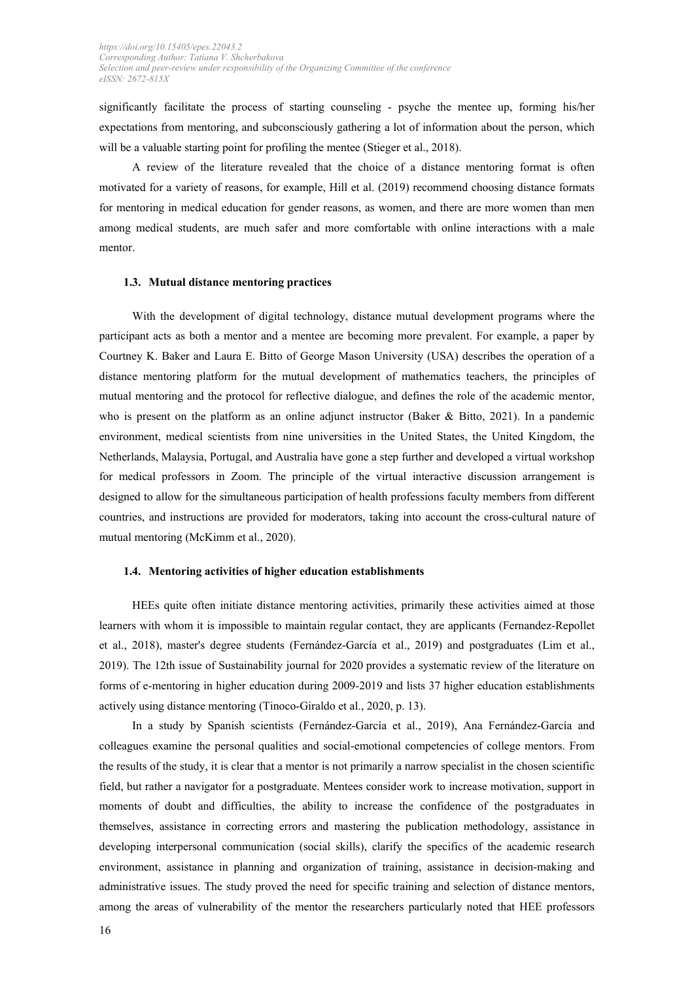significantly facilitate the process of starting counseling - psyche the mentee up, forming his/her expectations from mentoring, and subconsciously gathering a lot of information about the person, which will be a valuable starting point for profiling the mentee (Stieger et al., 2018).

A review of the literature revealed that the choice of a distance mentoring format is often motivated for a variety of reasons, for example, Hill et al. (2019) recommend choosing distance formats for mentoring in medical education for gender reasons, as women, and there are more women than men among medical students, are much safer and more comfortable with online interactions with a male mentor.

#### **1.3. Mutual distance mentoring practices**

With the development of digital technology, distance mutual development programs where the participant acts as both a mentor and a mentee are becoming more prevalent. For example, a paper by Courtney K. Baker and Laura E. Bitto of George Mason University (USA) describes the operation of a distance mentoring platform for the mutual development of mathematics teachers, the principles of mutual mentoring and the protocol for reflective dialogue, and defines the role of the academic mentor, who is present on the platform as an online adjunct instructor (Baker & Bitto, 2021). In a pandemic environment, medical scientists from nine universities in the United States, the United Kingdom, the Netherlands, Malaysia, Portugal, and Australia have gone a step further and developed a virtual workshop for medical professors in Zoom. The principle of the virtual interactive discussion arrangement is designed to allow for the simultaneous participation of health professions faculty members from different countries, and instructions are provided for moderators, taking into account the cross-cultural nature of mutual mentoring (McKimm et al., 2020).

#### **1.4. Mentoring activities of higher education establishments**

HEEs quite often initiate distance mentoring activities, primarily these activities aimed at those learners with whom it is impossible to maintain regular contact, they are applicants (Fernandez-Repollet et al., 2018), master's degree students (Fernández-García et al., 2019) and postgraduates (Lim et al., 2019). The 12th issue of Sustainability journal for 2020 provides a systematic review of the literature on forms of e-mentoring in higher education during 2009-2019 and lists 37 higher education establishments actively using distance mentoring (Tinoco-Giraldo et al., 2020, p. 13).

In a study by Spanish scientists (Fernández-García et al., 2019), Ana Fernández-García and colleagues examine the personal qualities and social-emotional competencies of college mentors. From the results of the study, it is clear that a mentor is not primarily a narrow specialist in the chosen scientific field, but rather a navigator for a postgraduate. Mentees consider work to increase motivation, support in moments of doubt and difficulties, the ability to increase the confidence of the postgraduates in themselves, assistance in correcting errors and mastering the publication methodology, assistance in developing interpersonal communication (social skills), clarify the specifics of the academic research environment, assistance in planning and organization of training, assistance in decision-making and administrative issues. The study proved the need for specific training and selection of distance mentors, among the areas of vulnerability of the mentor the researchers particularly noted that HEE professors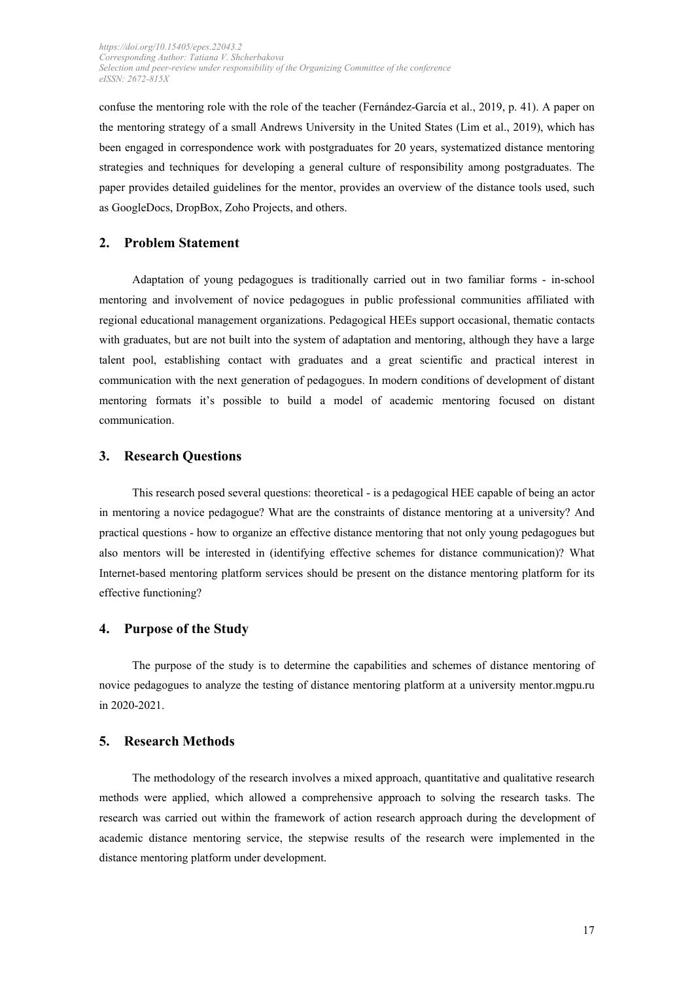confuse the mentoring role with the role of the teacher (Fernández-García et al., 2019, p. 41). A paper on the mentoring strategy of a small Andrews University in the United States (Lim et al., 2019), which has been engaged in correspondence work with postgraduates for 20 years, systematized distance mentoring strategies and techniques for developing a general culture of responsibility among postgraduates. The paper provides detailed guidelines for the mentor, provides an overview of the distance tools used, such as GoogleDocs, DropBox, Zoho Projects, and others.

# **2. Problem Statement**

Adaptation of young pedagogues is traditionally carried out in two familiar forms - in-school mentoring and involvement of novice pedagogues in public professional communities affiliated with regional educational management organizations. Pedagogical HEEs support occasional, thematic contacts with graduates, but are not built into the system of adaptation and mentoring, although they have a large talent pool, establishing contact with graduates and a great scientific and practical interest in communication with the next generation of pedagogues. In modern conditions of development of distant mentoring formats it's possible to build a model of academic mentoring focused on distant communication.

# **3. Research Questions**

This research posed several questions: theoretical - is a pedagogical HEE capable of being an actor in mentoring a novice pedagogue? What are the constraints of distance mentoring at a university? And practical questions - how to organize an effective distance mentoring that not only young pedagogues but also mentors will be interested in (identifying effective schemes for distance communication)? What Internet-based mentoring platform services should be present on the distance mentoring platform for its effective functioning?

### **4. Purpose of the Study**

The purpose of the study is to determine the capabilities and schemes of distance mentoring of novice pedagogues to analyze the testing of distance mentoring platform at a university mentor.mgpu.ru in 2020-2021.

### **5. Research Methods**

The methodology of the research involves a mixed approach, quantitative and qualitative research methods were applied, which allowed a comprehensive approach to solving the research tasks. The research was carried out within the framework of action research approach during the development of academic distance mentoring service, the stepwise results of the research were implemented in the distance mentoring platform under development.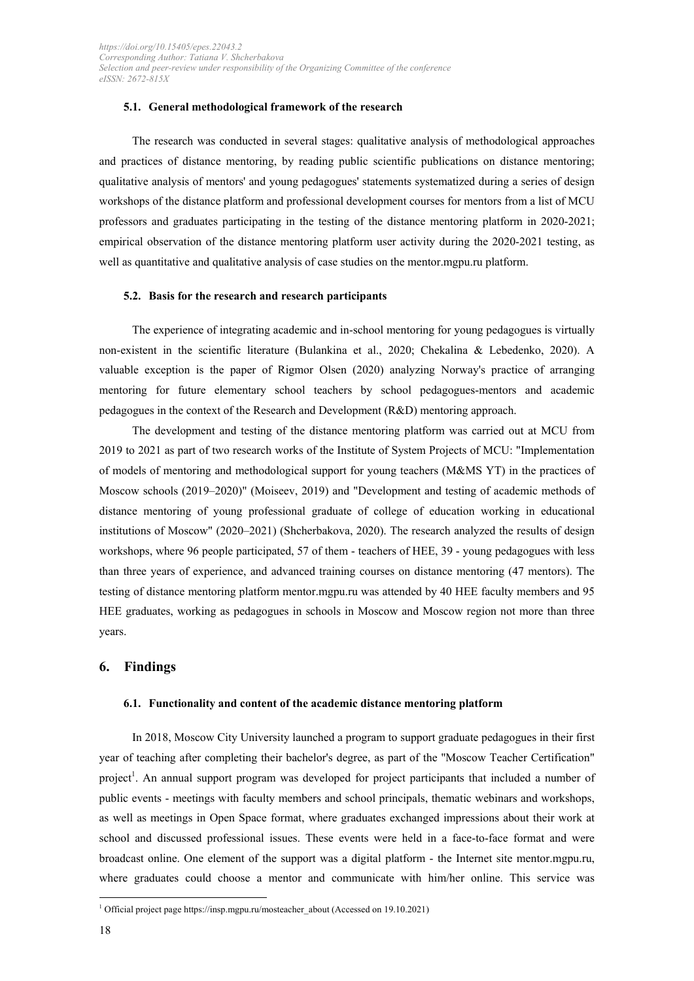#### **5.1. General methodological framework of the research**

The research was conducted in several stages: qualitative analysis of methodological approaches and practices of distance mentoring, by reading public scientific publications on distance mentoring; qualitative analysis of mentors' and young pedagogues' statements systematized during a series of design workshops of the distance platform and professional development courses for mentors from a list of MCU professors and graduates participating in the testing of the distance mentoring platform in 2020-2021; empirical observation of the distance mentoring platform user activity during the 2020-2021 testing, as well as quantitative and qualitative analysis of case studies on the mentor.mgpu.ru platform.

### **5.2. Basis for the research and research participants**

The experience of integrating academic and in-school mentoring for young pedagogues is virtually non-existent in the scientific literature (Bulankina et al., 2020; Chekalina & Lebedenko, 2020). A valuable exception is the paper of Rigmor Olsen (2020) analyzing Norway's practice of arranging mentoring for future elementary school teachers by school pedagogues-mentors and academic pedagogues in the context of the Research and Development (R&D) mentoring approach.

The development and testing of the distance mentoring platform was carried out at MCU from 2019 to 2021 as part of two research works of the Institute of System Projects of MCU: "Implementation of models of mentoring and methodological support for young teachers (M&MS YT) in the practices of Moscow schools (2019–2020)" (Moiseev, 2019) and "Development and testing of academic methods of distance mentoring of young professional graduate of college of education working in educational institutions of Moscow" (2020–2021) (Shcherbakova, 2020). The research analyzed the results of design workshops, where 96 people participated, 57 of them - teachers of HEE, 39 - young pedagogues with less than three years of experience, and advanced training courses on distance mentoring (47 mentors). The testing of distance mentoring platform mentor.mgpu.ru was attended by 40 HEE faculty members and 95 HEE graduates, working as pedagogues in schools in Moscow and Moscow region not more than three years.

# **6. Findings**

#### **6.1. Functionality and content of the academic distance mentoring platform**

In 2018, Moscow City University launched a program to support graduate pedagogues in their first year of teaching after completing their bachelor's degree, as part of the "Moscow Teacher Certification" project<sup>1</sup>. An annual support program was developed for project participants that included a number of public events - meetings with faculty members and school principals, thematic webinars and workshops, as well as meetings in Open Space format, where graduates exchanged impressions about their work at school and discussed professional issues. These events were held in a face-to-face format and were broadcast online. One element of the support was a digital platform - the Internet site mentor.mgpu.ru, where graduates could choose a mentor and communicate with him/her online. This service was

<sup>&</sup>lt;sup>1</sup> Official project pag[e https://insp.mgpu.ru/mosteacher\\_about](https://insp.mgpu.ru/mosteacher_about) (Accessed on 19.10.2021)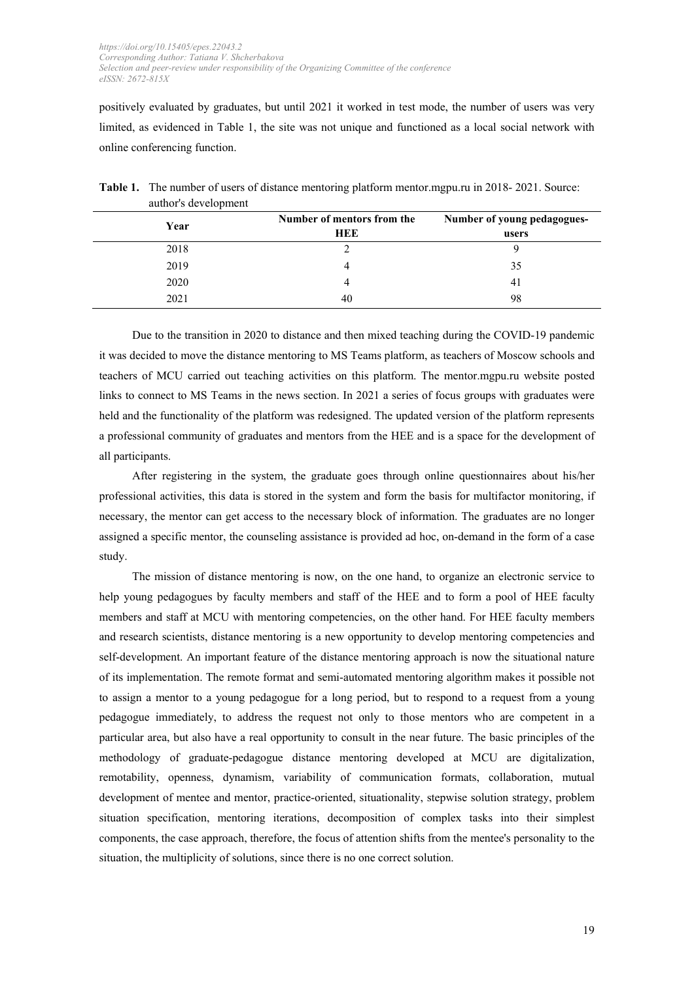positively evaluated by graduates, but until 2021 it worked in test mode, the number of users was very limited, as evidenced in Table 1, the site was not unique and functioned as a local social network with online conferencing function.

| $\overline{\phantom{a}}$<br>Year | Number of mentors from the<br>HEE | Number of young pedagogues-<br>users |
|----------------------------------|-----------------------------------|--------------------------------------|
| 2018                             |                                   |                                      |
| 2019                             |                                   | 35                                   |
| 2020                             |                                   | 41                                   |
| 2021                             | 40                                | 98                                   |

**Table 1.** The number of users of distance mentoring platform mentor.mgpu.ru in 2018- 2021. Source: author's development

Due to the transition in 2020 to distance and then mixed teaching during the COVID-19 pandemic it was decided to move the distance mentoring to MS Teams platform, as teachers of Moscow schools and teachers of MCU carried out teaching activities on this platform. The mentor.mgpu.ru website posted links to connect to MS Teams in the news section. In 2021 a series of focus groups with graduates were held and the functionality of the platform was redesigned. The updated version of the platform represents a professional community of graduates and mentors from the HEE and is a space for the development of all participants.

After registering in the system, the graduate goes through online questionnaires about his/her professional activities, this data is stored in the system and form the basis for multifactor monitoring, if necessary, the mentor can get access to the necessary block of information. The graduates are no longer assigned a specific mentor, the counseling assistance is provided ad hoc, on-demand in the form of a case study.

The mission of distance mentoring is now, on the one hand, to organize an electronic service to help young pedagogues by faculty members and staff of the HEE and to form a pool of HEE faculty members and staff at MСU with mentoring competencies, on the other hand. For HEE faculty members and research scientists, distance mentoring is a new opportunity to develop mentoring competencies and self-development. An important feature of the distance mentoring approach is now the situational nature of its implementation. The remote format and semi-automated mentoring algorithm makes it possible not to assign a mentor to a young pedagogue for a long period, but to respond to a request from a young pedagogue immediately, to address the request not only to those mentors who are competent in a particular area, but also have a real opportunity to consult in the near future. The basic principles of the methodology of graduate-pedagogue distance mentoring developed at MСU are digitalization, remotability, openness, dynamism, variability of communication formats, collaboration, mutual development of mentee and mentor, practice-oriented, situationality, stepwise solution strategy, problem situation specification, mentoring iterations, decomposition of complex tasks into their simplest components, the case approach, therefore, the focus of attention shifts from the mentee's personality to the situation, the multiplicity of solutions, since there is no one correct solution.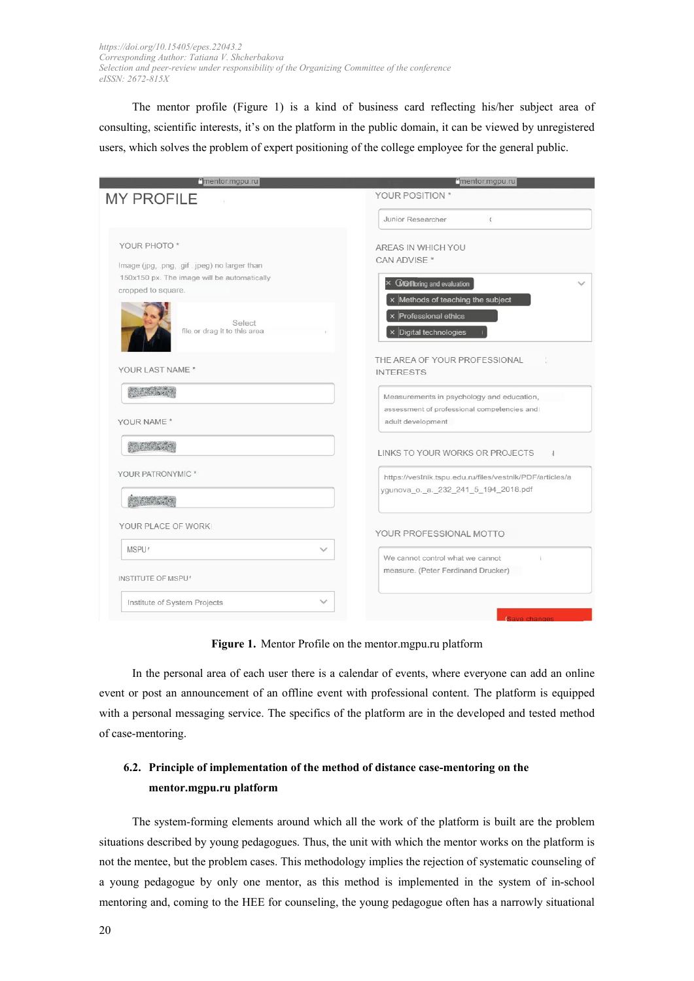The mentor profile (Figure 1) is a kind of business card reflecting his/her subject area of consulting, scientific interests, it's on the platform in the public domain, it can be viewed by unregistered users, which solves the problem of expert positioning of the college employee for the general public.

| mentor.mgpu.ru                                | "mentor.mgpu.ru                                          |
|-----------------------------------------------|----------------------------------------------------------|
| <b>MY PROFILE</b>                             | YOUR POSITION *                                          |
|                                               | Junior Researcher<br>$\epsilon$                          |
| YOUR PHOTO*                                   | AREAS IN WHICH YOU                                       |
| Image (jpg, .png, .gif . jpeg) no larger than | CAN ADVISE *                                             |
| 150x150 px. The image will be automatically   | $\times$ <b>CM</b> Ontitioning and evaluation            |
| cropped to square.                            |                                                          |
|                                               | x Methods of teaching the subject                        |
| Select                                        | x Professional ethics                                    |
| file or drag it to this area                  | $\times$ Digital technologies                            |
|                                               | THE AREA OF YOUR PROFESSIONAL                            |
| YOUR LAST NAME *                              | <b>INTERESTS</b>                                         |
| <b>AND THINKING</b>                           | Measurements in psychology and education,                |
|                                               | assessment of professional competencies and              |
| YOUR NAME *                                   | adult development                                        |
| SACK LAN                                      |                                                          |
|                                               | LINKS TO YOUR WORKS OR PROJECTS<br>١l                    |
| YOUR PATRONYMIC *                             | https://vestnik.tspu.edu.ru/files/vestnik/PDF/articles/a |
|                                               | ygunova o. a. 232 241 5 194 2018.pdf                     |
| AND THE BANK                                  |                                                          |
| YOUR PLACE OF WORK                            |                                                          |
|                                               | YOUR PROFESSIONAL MOTTO                                  |
| MSPU <sup>'</sup><br>$\checkmark$             | We cannot control what we cannot                         |
| INSTITUTE OF MSPU'                            | measure. (Peter Ferdinand Drucker)                       |
| Institute of System Projects                  |                                                          |
|                                               | (Save changes                                            |

**Figure 1.** Mentor Profile on the mentor.mgpu.ru platform

In the personal area of each user there is a calendar of events, where everyone can add an online event or post an announcement of an offline event with professional content. The platform is equipped with a personal messaging service. The specifics of the platform are in the developed and tested method of case-mentoring.

# **6.2. Principle of implementation of the method of distance case-mentoring on the mentor.mgpu.ru platform**

The system-forming elements around which all the work of the platform is built are the problem situations described by young pedagogues. Thus, the unit with which the mentor works on the platform is not the mentee, but the problem cases. This methodology implies the rejection of systematic counseling of a young pedagogue by only one mentor, as this method is implemented in the system of in-school mentoring and, coming to the HEE for counseling, the young pedagogue often has a narrowly situational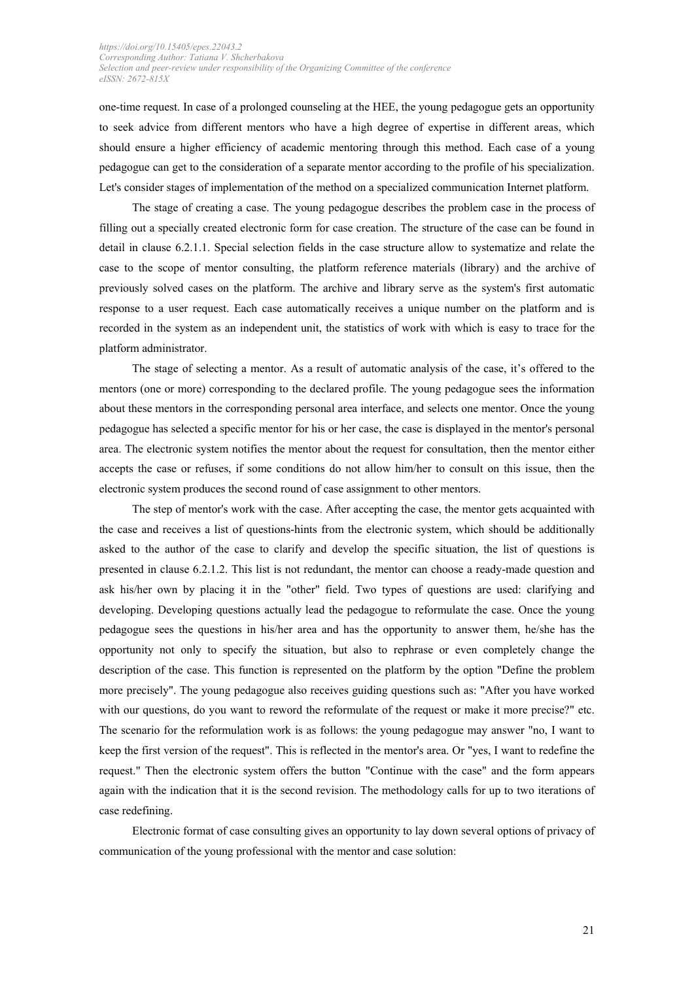one-time request. In case of a prolonged counseling at the HEE, the young pedagogue gets an opportunity to seek advice from different mentors who have a high degree of expertise in different areas, which should ensure a higher efficiency of academic mentoring through this method. Each case of a young pedagogue can get to the consideration of a separate mentor according to the profile of his specialization. Let's consider stages of implementation of the method on a specialized communication Internet platform.

The stage of creating a case. The young pedagogue describes the problem case in the process of filling out a specially created electronic form for case creation. The structure of the case can be found in detail in clause 6.2.1.1. Special selection fields in the case structure allow to systematize and relate the case to the scope of mentor consulting, the platform reference materials (library) and the archive of previously solved cases on the platform. The archive and library serve as the system's first automatic response to a user request. Each case automatically receives a unique number on the platform and is recorded in the system as an independent unit, the statistics of work with which is easy to trace for the platform administrator.

The stage of selecting a mentor. As a result of automatic analysis of the case, it's offered to the mentors (one or more) corresponding to the declared profile. The young pedagogue sees the information about these mentors in the corresponding personal area interface, and selects one mentor. Once the young pedagogue has selected a specific mentor for his or her case, the case is displayed in the mentor's personal area. The electronic system notifies the mentor about the request for consultation, then the mentor either accepts the case or refuses, if some conditions do not allow him/her to consult on this issue, then the electronic system produces the second round of case assignment to other mentors.

The step of mentor's work with the case. After accepting the case, the mentor gets acquainted with the case and receives a list of questions-hints from the electronic system, which should be additionally asked to the author of the case to clarify and develop the specific situation, the list of questions is presented in clause 6.2.1.2. This list is not redundant, the mentor can choose a ready-made question and ask his/her own by placing it in the "other" field. Two types of questions are used: clarifying and developing. Developing questions actually lead the pedagogue to reformulate the case. Once the young pedagogue sees the questions in his/her area and has the opportunity to answer them, he/she has the opportunity not only to specify the situation, but also to rephrase or even completely change the description of the case. This function is represented on the platform by the option "Define the problem more precisely". The young pedagogue also receives guiding questions such as: "After you have worked with our questions, do you want to reword the reformulate of the request or make it more precise?" etc. The scenario for the reformulation work is as follows: the young pedagogue may answer "no, I want to keep the first version of the request". This is reflected in the mentor's area. Or "yes, I want to redefine the request." Then the electronic system offers the button "Continue with the case" and the form appears again with the indication that it is the second revision. The methodology calls for up to two iterations of case redefining.

Electronic format of case consulting gives an opportunity to lay down several options of privacy of communication of the young professional with the mentor and case solution: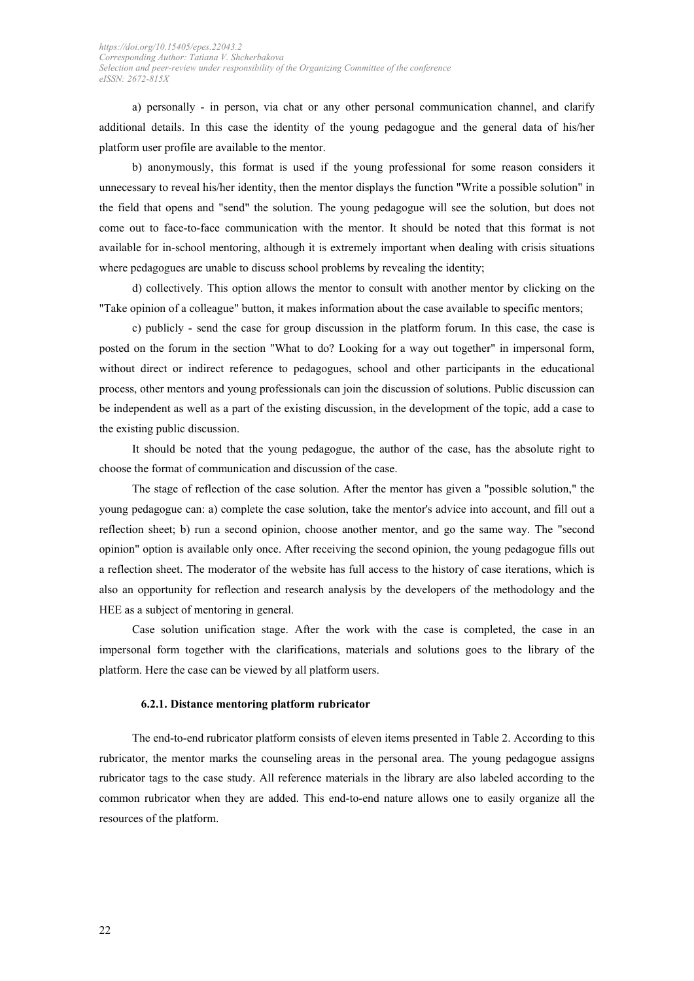a) personally - in person, via chat or any other personal communication channel, and clarify additional details. In this case the identity of the young pedagogue and the general data of his/her platform user profile are available to the mentor.

b) anonymously, this format is used if the young professional for some reason considers it unnecessary to reveal his/her identity, then the mentor displays the function "Write a possible solution" in the field that opens and "send" the solution. The young pedagogue will see the solution, but does not come out to face-to-face communication with the mentor. It should be noted that this format is not available for in-school mentoring, although it is extremely important when dealing with crisis situations where pedagogues are unable to discuss school problems by revealing the identity;

d) collectively. This option allows the mentor to consult with another mentor by clicking on the "Take opinion of a colleague" button, it makes information about the case available to specific mentors;

c) publicly - send the case for group discussion in the platform forum. In this case, the case is posted on the forum in the section "What to do? Looking for a way out together" in impersonal form, without direct or indirect reference to pedagogues, school and other participants in the educational process, other mentors and young professionals can join the discussion of solutions. Public discussion can be independent as well as a part of the existing discussion, in the development of the topic, add a case to the existing public discussion.

It should be noted that the young pedagogue, the author of the case, has the absolute right to choose the format of communication and discussion of the case.

The stage of reflection of the case solution. After the mentor has given a "possible solution," the young pedagogue can: a) complete the case solution, take the mentor's advice into account, and fill out a reflection sheet; b) run a second opinion, choose another mentor, and go the same way. The "second opinion" option is available only once. After receiving the second opinion, the young pedagogue fills out a reflection sheet. The moderator of the website has full access to the history of case iterations, which is also an opportunity for reflection and research analysis by the developers of the methodology and the HEE as a subject of mentoring in general.

Case solution unification stage. After the work with the case is completed, the case in an impersonal form together with the clarifications, materials and solutions goes to the library of the platform. Here the case can be viewed by all platform users.

#### **6.2.1. Distance mentoring platform rubricator**

The end-to-end rubricator platform consists of eleven items presented in Table 2. According to this rubricator, the mentor marks the counseling areas in the personal area. The young pedagogue assigns rubricator tags to the case study. All reference materials in the library are also labeled according to the common rubricator when they are added. This end-to-end nature allows one to easily organize all the resources of the platform.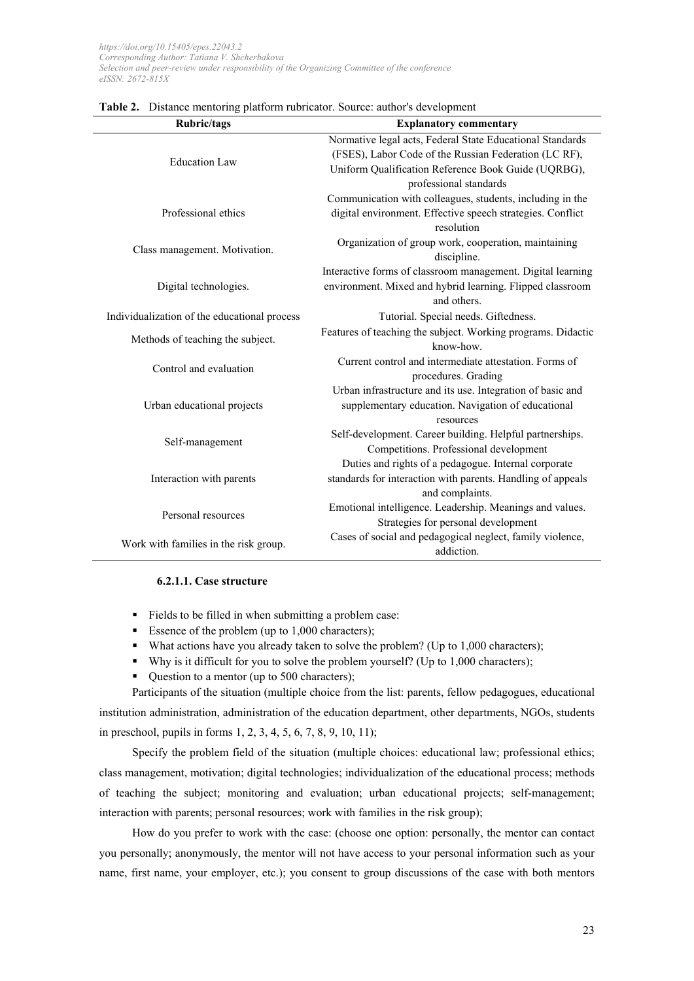| <b>Rubric/tags</b>                           | <b>Explanatory commentary</b>                                |  |
|----------------------------------------------|--------------------------------------------------------------|--|
|                                              | Normative legal acts, Federal State Educational Standards    |  |
| <b>Education Law</b>                         | (FSES), Labor Code of the Russian Federation (LC RF),        |  |
|                                              | Uniform Qualification Reference Book Guide (UQRBG),          |  |
|                                              | professional standards                                       |  |
|                                              | Communication with colleagues, students, including in the    |  |
| Professional ethics                          | digital environment. Effective speech strategies. Conflict   |  |
|                                              | resolution                                                   |  |
| Class management. Motivation.                | Organization of group work, cooperation, maintaining         |  |
|                                              | discipline.                                                  |  |
|                                              | Interactive forms of classroom management. Digital learning  |  |
| Digital technologies.                        | environment. Mixed and hybrid learning. Flipped classroom    |  |
|                                              | and others.                                                  |  |
| Individualization of the educational process | Tutorial. Special needs. Giftedness.                         |  |
| Methods of teaching the subject.             | Features of teaching the subject. Working programs. Didactic |  |
|                                              | know-how.                                                    |  |
| Control and evaluation                       | Current control and intermediate attestation. Forms of       |  |
|                                              | procedures. Grading                                          |  |
|                                              | Urban infrastructure and its use. Integration of basic and   |  |
| Urban educational projects                   | supplementary education. Navigation of educational           |  |
|                                              | resources                                                    |  |
| Self-management                              | Self-development. Career building. Helpful partnerships.     |  |
|                                              | Competitions. Professional development                       |  |
|                                              | Duties and rights of a pedagogue. Internal corporate         |  |
| Interaction with parents                     | standards for interaction with parents. Handling of appeals  |  |
|                                              | and complaints.                                              |  |
| Personal resources                           | Emotional intelligence. Leadership. Meanings and values.     |  |
|                                              | Strategies for personal development                          |  |
| Work with families in the risk group.        | Cases of social and pedagogical neglect, family violence,    |  |
|                                              | addiction.                                                   |  |

#### **Table 2.** Distance mentoring platform rubricator. Source: author's development

### **6.2.1.1. Case structure**

- Fields to be filled in when submitting a problem case:
- Essence of the problem (up to  $1,000$  characters);
- $\blacksquare$  What actions have you already taken to solve the problem? (Up to 1,000 characters);
- Why is it difficult for you to solve the problem yourself? (Up to 1,000 characters);
- Question to a mentor (up to 500 characters);

Participants of the situation (multiple choice from the list: parents, fellow pedagogues, educational institution administration, administration of the education department, other departments, NGOs, students in preschool, pupils in forms 1, 2, 3, 4, 5, 6, 7, 8, 9, 10, 11);

Specify the problem field of the situation (multiple choices: educational law; professional ethics; class management, motivation; digital technologies; individualization of the educational process; methods of teaching the subject; monitoring and evaluation; urban educational projects; self-management; interaction with parents; personal resources; work with families in the risk group);

How do you prefer to work with the case: (choose one option: personally, the mentor can contact you personally; anonymously, the mentor will not have access to your personal information such as your name, first name, your employer, etc.); you consent to group discussions of the case with both mentors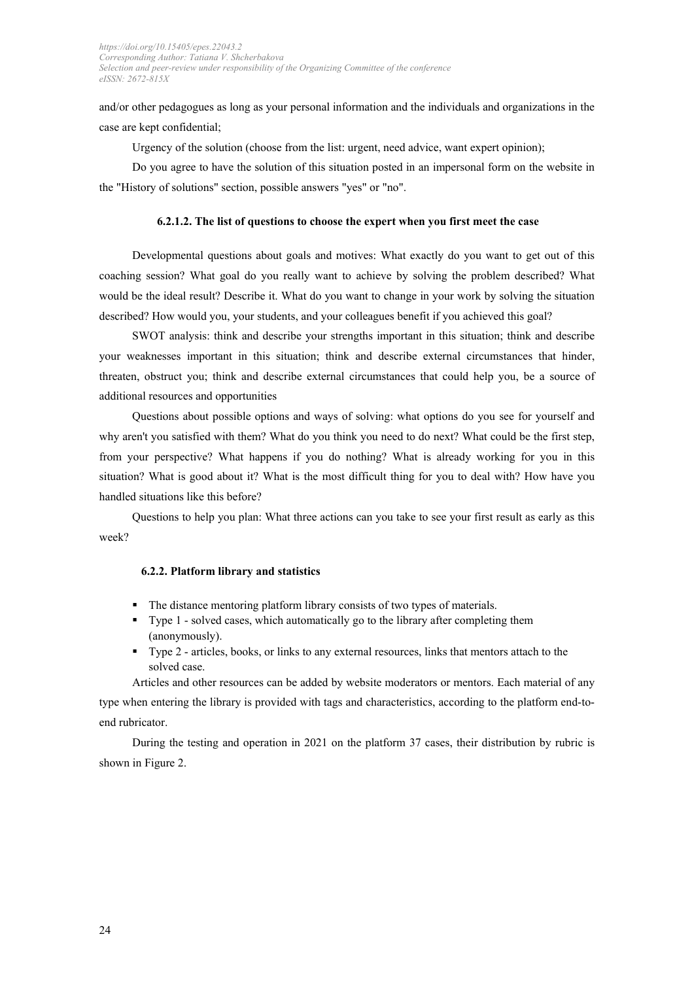and/or other pedagogues as long as your personal information and the individuals and organizations in the case are kept confidential;

Urgency of the solution (choose from the list: urgent, need advice, want expert opinion);

Do you agree to have the solution of this situation posted in an impersonal form on the website in the "History of solutions" section, possible answers "yes" or "no".

### **6.2.1.2. The list of questions to choose the expert when you first meet the case**

Developmental questions about goals and motives: What exactly do you want to get out of this coaching session? What goal do you really want to achieve by solving the problem described? What would be the ideal result? Describe it. What do you want to change in your work by solving the situation described? How would you, your students, and your colleagues benefit if you achieved this goal?

SWOT analysis: think and describe your strengths important in this situation; think and describe your weaknesses important in this situation; think and describe external circumstances that hinder, threaten, obstruct you; think and describe external circumstances that could help you, be a source of additional resources and opportunities

Questions about possible options and ways of solving: what options do you see for yourself and why aren't you satisfied with them? What do you think you need to do next? What could be the first step, from your perspective? What happens if you do nothing? What is already working for you in this situation? What is good about it? What is the most difficult thing for you to deal with? How have you handled situations like this before?

Questions to help you plan: What three actions can you take to see your first result as early as this week?

### **6.2.2. Platform library and statistics**

- The distance mentoring platform library consists of two types of materials.
- Type 1 solved cases, which automatically go to the library after completing them (anonymously).
- Type 2 articles, books, or links to any external resources, links that mentors attach to the solved case.

Articles and other resources can be added by website moderators or mentors. Each material of any type when entering the library is provided with tags and characteristics, according to the platform end-toend rubricator.

During the testing and operation in 2021 on the platform 37 cases, their distribution by rubric is shown in Figure 2.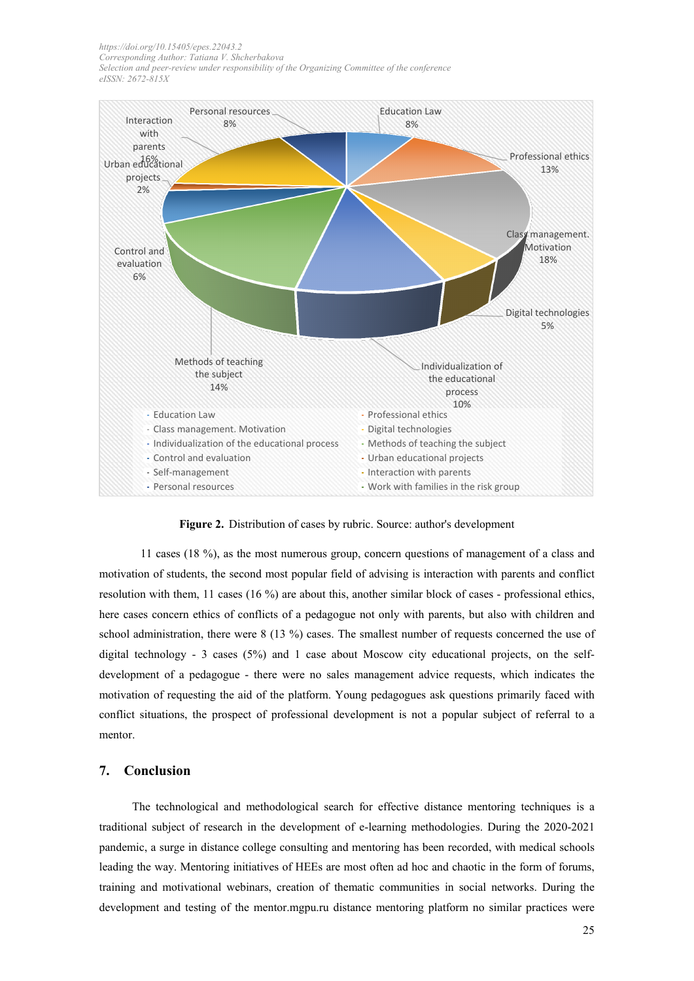

**Figure 2.** Distribution of cases by rubric. Source: author's development

11 cases (18 %), as the most numerous group, concern questions of management of a class and motivation of students, the second most popular field of advising is interaction with parents and conflict resolution with them, 11 cases (16 %) are about this, another similar block of cases - professional ethics, here cases concern ethics of conflicts of a pedagogue not only with parents, but also with children and school administration, there were 8 (13 %) cases. The smallest number of requests concerned the use of digital technology - 3 cases (5%) and 1 case about Moscow city educational projects, on the selfdevelopment of a pedagogue - there were no sales management advice requests, which indicates the motivation of requesting the aid of the platform. Young pedagogues ask questions primarily faced with conflict situations, the prospect of professional development is not a popular subject of referral to a mentor.

# **7. Conclusion**

The technological and methodological search for effective distance mentoring techniques is a traditional subject of research in the development of e-learning methodologies. During the 2020-2021 pandemic, a surge in distance college consulting and mentoring has been recorded, with medical schools leading the way. Mentoring initiatives of HEEs are most often ad hoc and chaotic in the form of forums, training and motivational webinars, creation of thematic communities in social networks. During the development and testing of the mentor.mgpu.ru distance mentoring platform no similar practices were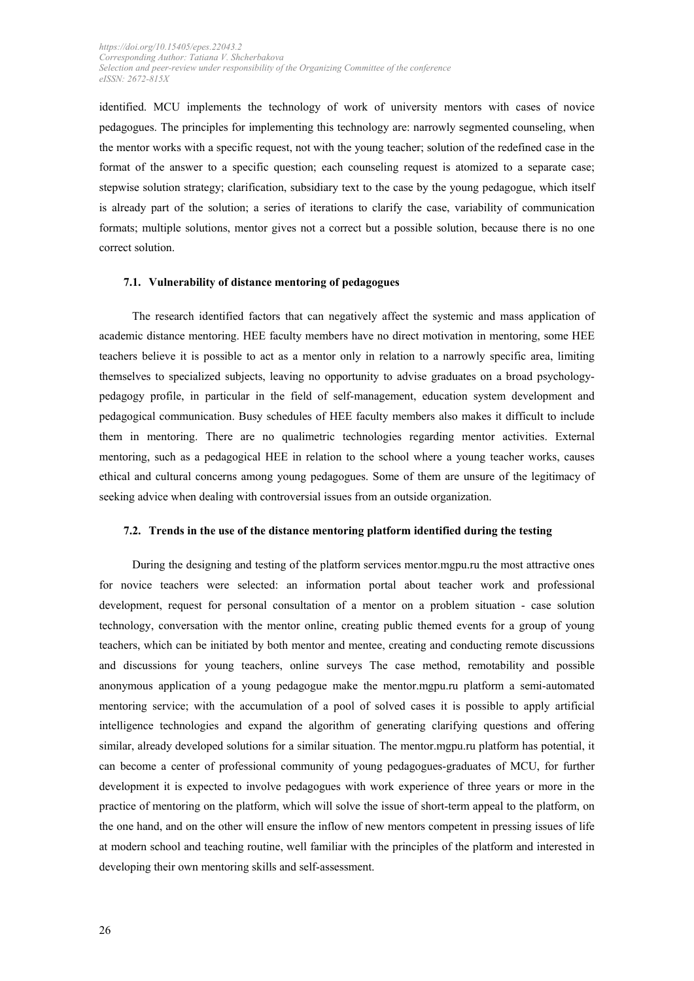identified. MСU implements the technology of work of university mentors with cases of novice pedagogues. The principles for implementing this technology are: narrowly segmented counseling, when the mentor works with a specific request, not with the young teacher; solution of the redefined case in the format of the answer to a specific question; each counseling request is atomized to a separate case; stepwise solution strategy; clarification, subsidiary text to the case by the young pedagogue, which itself is already part of the solution; a series of iterations to clarify the case, variability of communication formats; multiple solutions, mentor gives not a correct but a possible solution, because there is no one correct solution.

#### **7.1. Vulnerability of distance mentoring of pedagogues**

The research identified factors that can negatively affect the systemic and mass application of academic distance mentoring. HEE faculty members have no direct motivation in mentoring, some HEE teachers believe it is possible to act as a mentor only in relation to a narrowly specific area, limiting themselves to specialized subjects, leaving no opportunity to advise graduates on a broad psychologypedagogy profile, in particular in the field of self-management, education system development and pedagogical communication. Busy schedules of HEE faculty members also makes it difficult to include them in mentoring. There are no qualimetric technologies regarding mentor activities. External mentoring, such as a pedagogical HEE in relation to the school where a young teacher works, causes ethical and cultural concerns among young pedagogues. Some of them are unsure of the legitimacy of seeking advice when dealing with controversial issues from an outside organization.

### **7.2. Trends in the use of the distance mentoring platform identified during the testing**

During the designing and testing of the platform services mentor.mgpu.ru the most attractive ones for novice teachers were selected: an information portal about teacher work and professional development, request for personal consultation of a mentor on a problem situation - case solution technology, conversation with the mentor online, creating public themed events for a group of young teachers, which can be initiated by both mentor and mentee, creating and conducting remote discussions and discussions for young teachers, online surveys The case method, remotability and possible anonymous application of a young pedagogue make the mentor.mgpu.ru platform a semi-automated mentoring service; with the accumulation of a pool of solved cases it is possible to apply artificial intelligence technologies and expand the algorithm of generating clarifying questions and offering similar, already developed solutions for a similar situation. The mentor.mgpu.ru platform has potential, it can become a center of professional community of young pedagogues-graduates of MСU, for further development it is expected to involve pedagogues with work experience of three years or more in the practice of mentoring on the platform, which will solve the issue of short-term appeal to the platform, on the one hand, and on the other will ensure the inflow of new mentors competent in pressing issues of life at modern school and teaching routine, well familiar with the principles of the platform and interested in developing their own mentoring skills and self-assessment.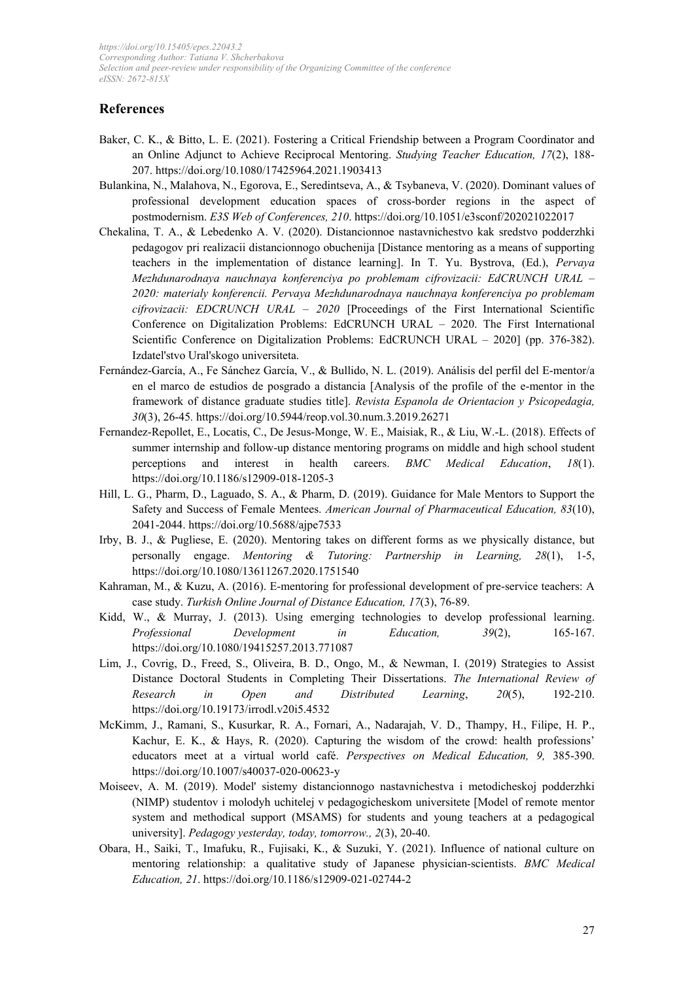# **References**

- Baker, C. K., & Bitto, L. E. (2021). Fostering a Critical Friendship between a Program Coordinator and an Online Adjunct to Achieve Reciprocal Mentoring. *Studying Teacher Education, 17*(2), 188- 207[. https://doi.org/10.1080/17425964.2021.1903413](https://doi.org/10.1080/17425964.2021.1903413)
- Bulankina, N., Malahova, N., Egorova, E., Seredintseva, A., & Tsybaneva, V. (2020). Dominant values of professional development education spaces of cross-border regions in the aspect of postmodernism. *E3S Web of Conferences, 210*. https://doi.org/10.1051/e3sconf/202021022017
- Chekalina, T. A., & Lebedenko A. V. (2020). Distancionnoe nastavnichestvo kak sredstvo podderzhki pedagogov pri realizacii distancionnogo obuchenija [Distance mentoring as a means of supporting teachers in the implementation of distance learning]. In T. Yu. Bystrova, (Ed.), *Pervaya Mezhdunarodnaya nauchnaya konferenciya po problemam cifrovizacii: EdCRUNCH URAL – 2020: materialy konferencii. Pervaya Mezhdunarodnaya nauchnaya konferenciya po problemam cifrovizacii: EDCRUNCH URAL – 2020* [Proceedings of the First International Scientific Conference on Digitalization Problems: EdCRUNCH URAL – 2020. The First International Scientific Conference on Digitalization Problems: EdCRUNCH URAL – 2020] (pp. 376-382). Izdatel'stvo Ural'skogo universiteta.
- Fernández-García, A., Fe Sánchez García, V., & Bullido, N. L. (2019). Análisis del perfil del E-mentor/a en el marco de estudios de posgrado a distancia [Analysis of the profile of the e-mentor in the framework of distance graduate studies title]. *Revista Espanola de Orientacion y Psicopedagia, 30*(3), 26-45*.* <https://doi.org/10.5944/reop.vol.30.num.3.2019.26271>
- Fernandez-Repollet, E., Locatis, C., De Jesus-Monge, W. E., Maisiak, R., & Liu, W.-L. (2018). Effects of summer internship and follow-up distance mentoring programs on middle and high school student perceptions and interest in health careers. *BMC Medical Education*, *18*(1). <https://doi.org/10.1186/s12909-018-1205-3>
- Hill, L. G., Pharm, D., Laguado, S. A., & Pharm, D. (2019). Guidance for Male Mentors to Support the Safety and Success of Female Mentees. *American Journal of Pharmaceutical Education, 83*(10), 2041-2044[. https://doi.org/10.5688/ajpe7533](https://doi.org/10.5688/ajpe7533)
- Irby, B. J., & Pugliese, E. (2020). Mentoring takes on different forms as we physically distance, but personally engage. *Mentoring & Tutoring: Partnership in Learning, 28*(1), 1-5, <https://doi.org/10.1080/13611267.2020.1751540>
- Kahraman, M., & Kuzu, A. (2016). E-mentoring for professional development of pre-service teachers: A case study. *Turkish Online Journal of Distance Education, 17*(3), 76-89.
- Kidd, W., & Murray, J. (2013). Using emerging technologies to develop professional learning. *Professional Development in Education, 39*(2), 165-167. <https://doi.org/10.1080/19415257.2013.771087>
- Lim, J., Covrig, D., Freed, S., Oliveira, B. D., Ongo, M., & Newman, I. (2019) Strategies to Assist Distance Doctoral Students in Completing Their Dissertations. *The International Review of Research in Open and Distributed Learning*, *20*(5), 192-210. <https://doi.org/10.19173/irrodl.v20i5.4532>
- McKimm, J., Ramani, S., Kusurkar, R. A., Fornari, A., Nadarajah, V. D., Thampy, H., Filipe, H. P., Kachur, E. K., & Hays, R. (2020). Capturing the wisdom of the crowd: health professions' educators meet at a virtual world café. *Perspectives on Medical Education, 9,* 385-390. <https://doi.org/10.1007/s40037-020-00623-y>
- Moiseev, A. M. (2019). Model' sistemy distancionnogo nastavnichestva i metodicheskoj podderzhki (NIMP) studentov i molodyh uchitelej v pedagogicheskom universitete [Model of remote mentor system and methodical support (MSAMS) for students and young teachers at a pedagogical university]. *Pedagogy yesterday, today, tomorrow., 2*(3), 20-40.
- Obara, H., Saiki, T., Imafuku, R., Fujisaki, K., & Suzuki, Y. (2021). Influence of national culture on mentoring relationship: a qualitative study of Japanese physician-scientists. *BMC Medical Education, 21*[. https://doi.org/10.1186/s12909-021-02744-2](https://doi.org/10.1186/s12909-021-02744-2)